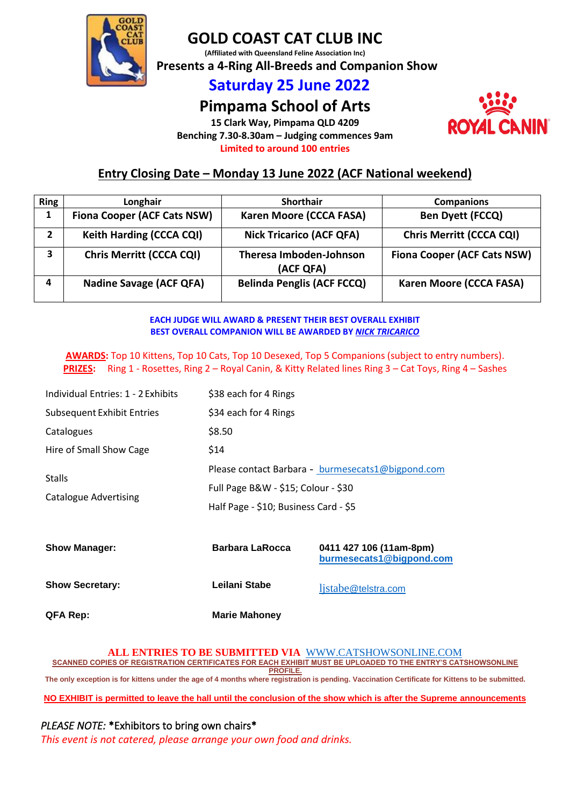

# **GOLD COAST CAT CLUB INC**

**(Affiliated with Queensland Feline Association Inc)**

 **Presents a 4-Ring All-Breeds and Companion Show**

# **Saturday 25 June 2022**

# **Pimpama School of Arts**

**15 Clark Way, Pimpama QLD 4209 Benching 7.30-8.30am – Judging commences 9am Limited to around 100 entries**



# **Entry Closing Date – Monday 13 June 2022 (ACF National weekend)**

| <b>Ring</b>    | Longhair                           | <b>Shorthair</b>                     | <b>Companions</b>                  |
|----------------|------------------------------------|--------------------------------------|------------------------------------|
|                | <b>Fiona Cooper (ACF Cats NSW)</b> | Karen Moore (CCCA FASA)              | <b>Ben Dyett (FCCQ)</b>            |
| $\overline{2}$ | Keith Harding (CCCA CQI)           | <b>Nick Tricarico (ACF QFA)</b>      | Chris Merritt (CCCA CQI)           |
| 3              | <b>Chris Merritt (CCCA CQI)</b>    | Theresa Imboden-Johnson<br>(ACF QFA) | <b>Fiona Cooper (ACF Cats NSW)</b> |
|                | <b>Nadine Savage (ACF QFA)</b>     | <b>Belinda Penglis (ACF FCCQ)</b>    | Karen Moore (CCCA FASA)            |

## **EACH JUDGE WILL AWARD & PRESENT THEIR BEST OVERALL EXHIBIT BEST OVERALL COMPANION WILL BE AWARDED BY** *NICK TRICARICO*

**AWARDS:** Top 10 Kittens, Top 10 Cats, Top 10 Desexed, Top 5 Companions (subject to entry numbers). **PRIZES:** Ring 1 - Rosettes, Ring 2 – Royal Canin, & Kitty Related lines Ring 3 – Cat Toys, Ring 4 – Sashes

| Individual Entries: 1 - 2 Exhibits | \$38 each for 4 Rings                             |  |  |
|------------------------------------|---------------------------------------------------|--|--|
| <b>Subsequent Exhibit Entries</b>  | \$34 each for 4 Rings                             |  |  |
| Catalogues                         | \$8.50                                            |  |  |
| Hire of Small Show Cage            | \$14                                              |  |  |
| <b>Stalls</b>                      | Please contact Barbara - burmesecats1@bigpond.com |  |  |
|                                    | Full Page B&W - \$15; Colour - \$30               |  |  |
| <b>Catalogue Advertising</b>       | Half Page - \$10; Business Card - \$5             |  |  |
|                                    |                                                   |  |  |

| <b>Show Manager:</b>   | <b>Barbara LaRocca</b> | 0411 427 106 (11am-8pm)<br>burmesecats1@bigpond.com |
|------------------------|------------------------|-----------------------------------------------------|
| <b>Show Secretary:</b> | Leilani Stabe          | listabe@telstra.com                                 |
| <b>QFA Rep:</b>        | <b>Marie Mahoney</b>   |                                                     |

### **ALL ENTRIES TO BE SUBMITTED VIA** [WWW.CATSHOWSONLINE.COM](http://www.catshowsonline.com/)

**SCANNED COPIES OF REGISTRATION CERTIFICATES FOR EACH EXHIBIT MUST BE UPLOADED TO THE ENTRY'S CATSHOWSONLINE PROFILE.**

**The only exception is for kittens under the age of 4 months where registration is pending. Vaccination Certificate for Kittens to be submitted.**

**NO EXHIBIT is permitted to leave the hall until the conclusion of the show which is after the Supreme announcements**

# *PLEASE NOTE:* \*Exhibitors to bring own chairs\*

*This event is not catered, please arrange your own food and drinks.*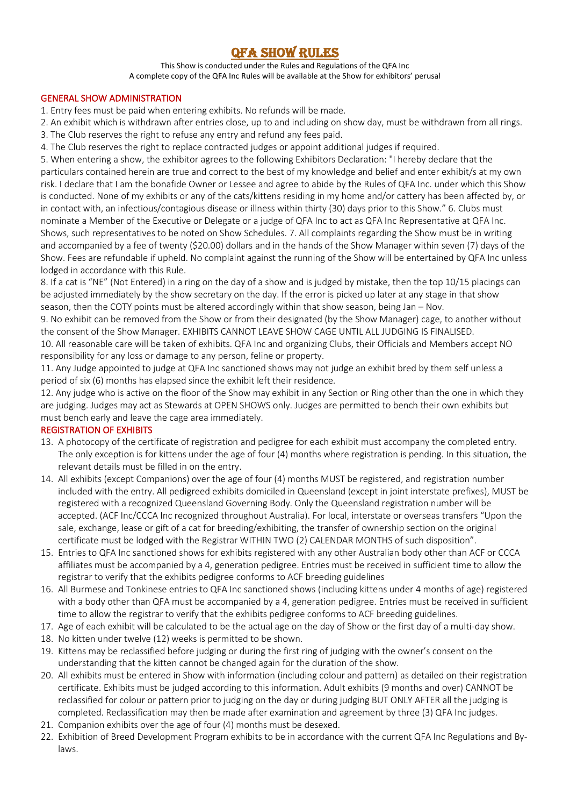# QFA SHOW RULES

This Show is conducted under the Rules and Regulations of the QFA Inc A complete copy of the QFA Inc Rules will be available at the Show for exhibitors' perusal

### GENERAL SHOW ADMINISTRATION

1. Entry fees must be paid when entering exhibits. No refunds will be made.

- 2. An exhibit which is withdrawn after entries close, up to and including on show day, must be withdrawn from all rings.
- 3. The Club reserves the right to refuse any entry and refund any fees paid.
- 4. The Club reserves the right to replace contracted judges or appoint additional judges if required.

5. When entering a show, the exhibitor agrees to the following Exhibitors Declaration: "I hereby declare that the particulars contained herein are true and correct to the best of my knowledge and belief and enter exhibit/s at my own risk. I declare that I am the bonafide Owner or Lessee and agree to abide by the Rules of QFA Inc. under which this Show is conducted. None of my exhibits or any of the cats/kittens residing in my home and/or cattery has been affected by, or in contact with, an infectious/contagious disease or illness within thirty (30) days prior to this Show." 6. Clubs must nominate a Member of the Executive or Delegate or a judge of QFA Inc to act as QFA Inc Representative at QFA Inc. Shows, such representatives to be noted on Show Schedules. 7. All complaints regarding the Show must be in writing and accompanied by a fee of twenty (\$20.00) dollars and in the hands of the Show Manager within seven (7) days of the Show. Fees are refundable if upheld. No complaint against the running of the Show will be entertained by QFA Inc unless lodged in accordance with this Rule.

8. If a cat is "NE" (Not Entered) in a ring on the day of a show and is judged by mistake, then the top 10/15 placings can be adjusted immediately by the show secretary on the day. If the error is picked up later at any stage in that show season, then the COTY points must be altered accordingly within that show season, being Jan – Nov.

9. No exhibit can be removed from the Show or from their designated (by the Show Manager) cage, to another without the consent of the Show Manager. EXHIBITS CANNOT LEAVE SHOW CAGE UNTIL ALL JUDGING IS FINALISED.

10. All reasonable care will be taken of exhibits. QFA Inc and organizing Clubs, their Officials and Members accept NO responsibility for any loss or damage to any person, feline or property.

11. Any Judge appointed to judge at QFA Inc sanctioned shows may not judge an exhibit bred by them self unless a period of six (6) months has elapsed since the exhibit left their residence.

12. Any judge who is active on the floor of the Show may exhibit in any Section or Ring other than the one in which they are judging. Judges may act as Stewards at OPEN SHOWS only. Judges are permitted to bench their own exhibits but must bench early and leave the cage area immediately.

# REGISTRATION OF EXHIBITS

- 13. A photocopy of the certificate of registration and pedigree for each exhibit must accompany the completed entry. The only exception is for kittens under the age of four (4) months where registration is pending. In this situation, the relevant details must be filled in on the entry.
- 14. All exhibits (except Companions) over the age of four (4) months MUST be registered, and registration number included with the entry. All pedigreed exhibits domiciled in Queensland (except in joint interstate prefixes), MUST be registered with a recognized Queensland Governing Body. Only the Queensland registration number will be accepted. (ACF Inc/CCCA Inc recognized throughout Australia). For local, interstate or overseas transfers "Upon the sale, exchange, lease or gift of a cat for breeding/exhibiting, the transfer of ownership section on the original certificate must be lodged with the Registrar WITHIN TWO (2) CALENDAR MONTHS of such disposition".
- 15. Entries to QFA Inc sanctioned shows for exhibits registered with any other Australian body other than ACF or CCCA affiliates must be accompanied by a 4, generation pedigree. Entries must be received in sufficient time to allow the registrar to verify that the exhibits pedigree conforms to ACF breeding guidelines
- 16. All Burmese and Tonkinese entries to QFA Inc sanctioned shows (including kittens under 4 months of age) registered with a body other than QFA must be accompanied by a 4, generation pedigree. Entries must be received in sufficient time to allow the registrar to verify that the exhibits pedigree conforms to ACF breeding guidelines.
- 17. Age of each exhibit will be calculated to be the actual age on the day of Show or the first day of a multi-day show.
- 18. No kitten under twelve (12) weeks is permitted to be shown.
- 19. Kittens may be reclassified before judging or during the first ring of judging with the owner's consent on the understanding that the kitten cannot be changed again for the duration of the show.
- 20. All exhibits must be entered in Show with information (including colour and pattern) as detailed on their registration certificate. Exhibits must be judged according to this information. Adult exhibits (9 months and over) CANNOT be reclassified for colour or pattern prior to judging on the day or during judging BUT ONLY AFTER all the judging is completed. Reclassification may then be made after examination and agreement by three (3) QFA Inc judges.
- 21. Companion exhibits over the age of four (4) months must be desexed.
- 22. Exhibition of Breed Development Program exhibits to be in accordance with the current QFA Inc Regulations and Bylaws.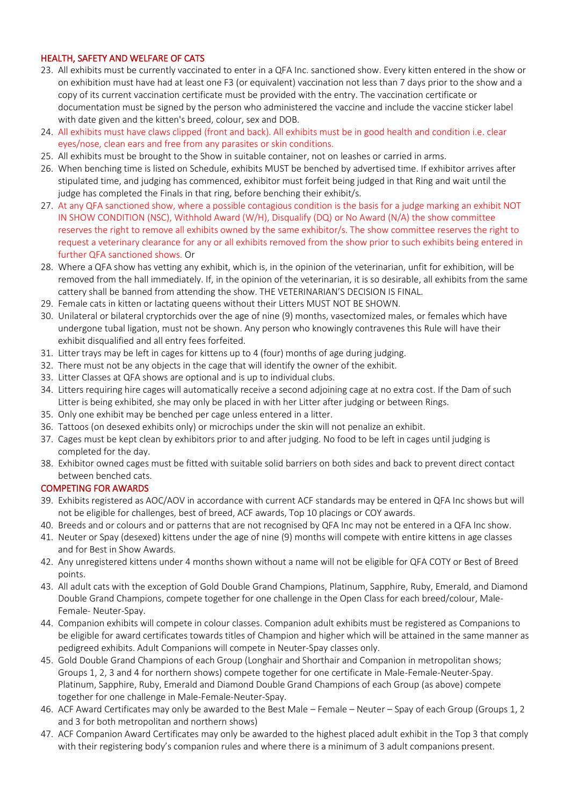# HEALTH, SAFETY AND WELFARE OF CATS

- 23. All exhibits must be currently vaccinated to enter in a QFA Inc. sanctioned show. Every kitten entered in the show or on exhibition must have had at least one F3 (or equivalent) vaccination not less than 7 days prior to the show and a copy of its current vaccination certificate must be provided with the entry. The vaccination certificate or documentation must be signed by the person who administered the vaccine and include the vaccine sticker label with date given and the kitten's breed, colour, sex and DOB.
- 24. All exhibits must have claws clipped (front and back). All exhibits must be in good health and condition i.e. clear eyes/nose, clean ears and free from any parasites or skin conditions.
- 25. All exhibits must be brought to the Show in suitable container, not on leashes or carried in arms.
- 26. When benching time is listed on Schedule, exhibits MUST be benched by advertised time. If exhibitor arrives after stipulated time, and judging has commenced, exhibitor must forfeit being judged in that Ring and wait until the judge has completed the Finals in that ring, before benching their exhibit/s.
- 27. At any QFA sanctioned show, where a possible contagious condition is the basis for a judge marking an exhibit NOT IN SHOW CONDITION (NSC), Withhold Award (W/H), Disqualify (DQ) or No Award (N/A) the show committee reserves the right to remove all exhibits owned by the same exhibitor/s. The show committee reserves the right to request a veterinary clearance for any or all exhibits removed from the show prior to such exhibits being entered in further QFA sanctioned shows. Or
- 28. Where a QFA show has vetting any exhibit, which is, in the opinion of the veterinarian, unfit for exhibition, will be removed from the hall immediately. If, in the opinion of the veterinarian, it is so desirable, all exhibits from the same cattery shall be banned from attending the show. THE VETERINARIAN'S DECISION IS FINAL.
- 29. Female cats in kitten or lactating queens without their Litters MUST NOT BE SHOWN.
- 30. Unilateral or bilateral cryptorchids over the age of nine (9) months, vasectomized males, or females which have undergone tubal ligation, must not be shown. Any person who knowingly contravenes this Rule will have their exhibit disqualified and all entry fees forfeited.
- 31. Litter trays may be left in cages for kittens up to 4 (four) months of age during judging.
- 32. There must not be any objects in the cage that will identify the owner of the exhibit.
- 33. Litter Classes at QFA shows are optional and is up to individual clubs.
- 34. Litters requiring hire cages will automatically receive a second adjoining cage at no extra cost. If the Dam of such Litter is being exhibited, she may only be placed in with her Litter after judging or between Rings.
- 35. Only one exhibit may be benched per cage unless entered in a litter.
- 36. Tattoos (on desexed exhibits only) or microchips under the skin will not penalize an exhibit.
- 37. Cages must be kept clean by exhibitors prior to and after judging. No food to be left in cages until judging is completed for the day.
- 38. Exhibitor owned cages must be fitted with suitable solid barriers on both sides and back to prevent direct contact between benched cats.

### COMPETING FOR AWARDS

- 39. Exhibits registered as AOC/AOV in accordance with current ACF standards may be entered in QFA Inc shows but will not be eligible for challenges, best of breed, ACF awards, Top 10 placings or COY awards.
- 40. Breeds and or colours and or patterns that are not recognised by QFA Inc may not be entered in a QFA Inc show.
- 41. Neuter or Spay (desexed) kittens under the age of nine (9) months will compete with entire kittens in age classes and for Best in Show Awards.
- 42. Any unregistered kittens under 4 months shown without a name will not be eligible for QFA COTY or Best of Breed points.
- 43. All adult cats with the exception of Gold Double Grand Champions, Platinum, Sapphire, Ruby, Emerald, and Diamond Double Grand Champions, compete together for one challenge in the Open Class for each breed/colour, Male-Female- Neuter-Spay.
- 44. Companion exhibits will compete in colour classes. Companion adult exhibits must be registered as Companions to be eligible for award certificates towards titles of Champion and higher which will be attained in the same manner as pedigreed exhibits. Adult Companions will compete in Neuter-Spay classes only.
- 45. Gold Double Grand Champions of each Group (Longhair and Shorthair and Companion in metropolitan shows; Groups 1, 2, 3 and 4 for northern shows) compete together for one certificate in Male-Female-Neuter-Spay. Platinum, Sapphire, Ruby, Emerald and Diamond Double Grand Champions of each Group (as above) compete together for one challenge in Male-Female-Neuter-Spay.
- 46. ACF Award Certificates may only be awarded to the Best Male Female Neuter Spay of each Group (Groups 1, 2 and 3 for both metropolitan and northern shows)
- 47. ACF Companion Award Certificates may only be awarded to the highest placed adult exhibit in the Top 3 that comply with their registering body's companion rules and where there is a minimum of 3 adult companions present.